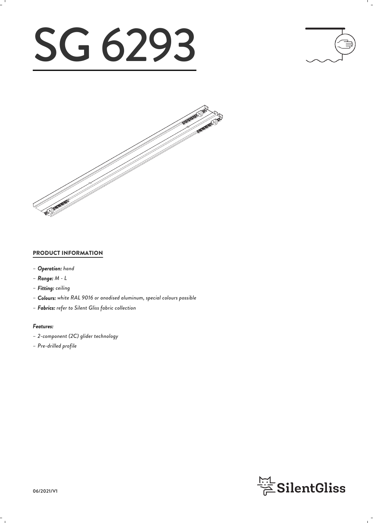# SG 6293





#### PRODUCT INFORMATION

- *– Operation: hand*
- *– Range: M L*
- *– Fitting: ceiling*
- *– Colours: white RAL 9016 or anodised aluminum, special colours possible*
- *– Fabrics: refer to Silent Gliss fabric collection*

#### *Features:*

- *– 2-component (2C) glider technology*
- *– Pre-drilled profile*

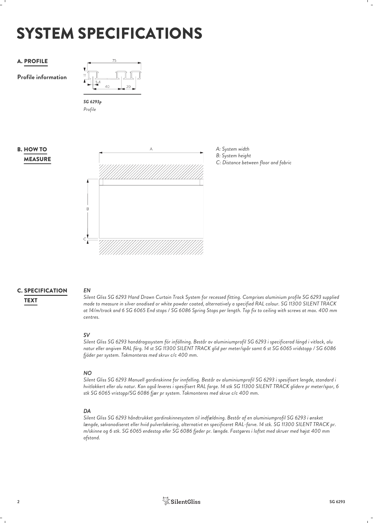# SYSTEM SPECIFICATIONS

### A. PROFILE

**Profile information**



*Profile*

#### MEASURE **B. HOW TO**





## **C. SPECIFICATION** EN

*EN Silent Gliss SG 6293 Hand Drawn Curtain Track System for recessed fitting. Comprises aluminium profile SG 6293 supplied made to measure in silver anodised or white powder coated, alternatively a specified RAL colour. SG 11300 SILENT TRACK* TEXT *at 14/m/track and 6 SG 6065 End stops / SG 6086 Spring Stops per length. Top fix to ceiling with screws at max. 400 mm centres.*

*SV Silent Gliss SG 6293 handdragssystem för infällning. Består av aluminiumprofil SG 6293 i specificerad längd i vitlack, alu natur eller angiven RAL färg. 14 st SG 11300 SILENT TRACK glid per meter/spår samt 6 st SG 6065 vridstopp / SG 6086 fjäder per system. Takmonteras med skruv c/c 400 mm.*

#### *NO*

*Silent Gliss SG 6293 Manuell gardinskinne for innfelling. Består av aluminiumprofil SG 6293 i spesifisert lengde, standard i hvitlakkert eller alu natur. Kan også leveres i spesifisert RAL farge. 14 stk SG 11300 SILENT TRACK glidere pr meter/spor, 6 stk SG 6065 vristopp/SG 6086 fjær pr system. Takmonteres med skrue c/c 400 mm.*

*DA Silent Gliss SG 6293 håndtrukket gardinskinnesystem til indfældning. Består af en aluminiumprofil SG 6293 i ønsket længde, sølvanodiseret eller hvid pulverlakering, alternativt en specificeret RAL-farve. 14 stk. SG 11300 SILENT TRACK pr. m/skinne og 6 stk. SG 6065 endestop eller SG 6086 fjeder pr. længde. Fastgøres i loftet med skruer med højst 400 mm afstand.*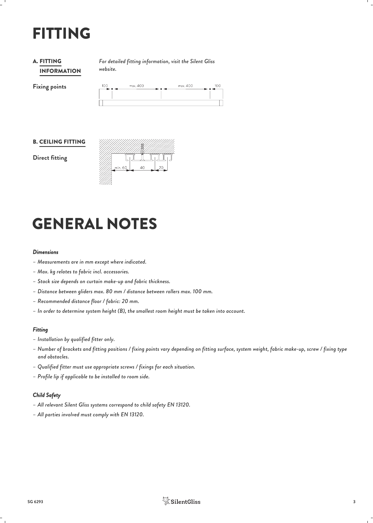# FITTING

#### INFORMATION **A. FITTING**

*For detailed fitting information, visit the Silent Gliss* FITTING *website.*



#### B. CEILING FITTING

**Direct fitting**



## GENERAL NOTES

#### *Dimensions*

- *– Measurements are in mm except where indicated.*
- *– Max. kg relates to fabric incl. accessories.*
- *– Stack size depends on curtain make-up and fabric thickness.*
- *– Distance between gliders max. 80 mm / distance between rollers max. 100 mm.*
- *– Recommended distance floor / fabric: 20 mm.*
- *– In order to determine system height (B), the smallest room height must be taken into account.*

#### *Fitting*

- *– Installation by qualified fitter only.*
- *– Number of brackets and fitting positions / fixing points vary depending on fitting surface, system weight, fabric make-up, screw / fixing type and obstacles.*
- *– Qualified fitter must use appropriate screws / fixings for each situation.*
- *– Profile lip if applicable to be installed to room side.*

#### *Child Safety*

- *– All relevant Silent Gliss systems correspond to child safety EN 13120.*
- *– All parties involved must comply with EN 13120.*